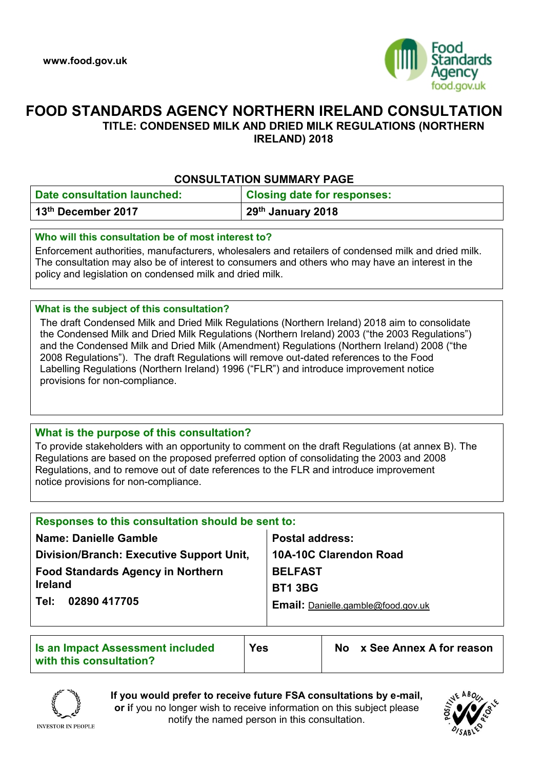

# **FOOD STANDARDS AGENCY NORTHERN IRELAND CONSULTATION TITLE: CONDENSED MILK AND DRIED MILK REGULATIONS (NORTHERN**

**IRELAND) 2018**

## **CONSULTATION SUMMARY PAGE**

| <b>Date consultation launched:</b> | <b>Closing date for responses:</b> |
|------------------------------------|------------------------------------|
| 13 <sup>th</sup> December 2017     | 29 <sup>th</sup> January 2018      |

## **Who will this consultation be of most interest to?**

Enforcement authorities, manufacturers, wholesalers and retailers of condensed milk and dried milk. The consultation may also be of interest to consumers and others who may have an interest in the policy and legislation on condensed milk and dried milk.

## **What is the subject of this consultation?**

The draft Condensed Milk and Dried Milk Regulations (Northern Ireland) 2018 aim to consolidate the Condensed Milk and Dried Milk Regulations (Northern Ireland) 2003 ("the 2003 Regulations") and the Condensed Milk and Dried Milk (Amendment) Regulations (Northern Ireland) 2008 ("the 2008 Regulations"). The draft Regulations will remove out-dated references to the Food Labelling Regulations (Northern Ireland) 1996 ("FLR") and introduce improvement notice provisions for non-compliance.

## **What is the purpose of this consultation?**

To provide stakeholders with an opportunity to comment on the draft Regulations (at annex B). The Regulations are based on the proposed preferred option of consolidating the 2003 and 2008 Regulations, and to remove out of date references to the FLR and introduce improvement notice provisions for non-compliance.

| Responses to this consultation should be sent to: |                                           |
|---------------------------------------------------|-------------------------------------------|
| <b>Name: Danielle Gamble</b>                      | <b>Postal address:</b>                    |
| Division/Branch: Executive Support Unit,          | <b>10A-10C Clarendon Road</b>             |
| <b>Food Standards Agency in Northern</b>          | <b>BELFAST</b>                            |
| <b>Ireland</b>                                    | <b>BT1 3BG</b>                            |
| 02890 417705<br>Tel:                              | <b>Email:</b> Danielle.gamble@food.gov.uk |
|                                                   |                                           |

| Is an Impact Assessment included<br>with this consultation? | <b>Yes</b> | No x See Annex A for reason |
|-------------------------------------------------------------|------------|-----------------------------|
|                                                             |            |                             |



**If you would prefer to receive future FSA consultations by e-mail, or i**f you no longer wish to receive information on this subject please notify the named person in this consultation.



**INVESTOR IN PEOPLE**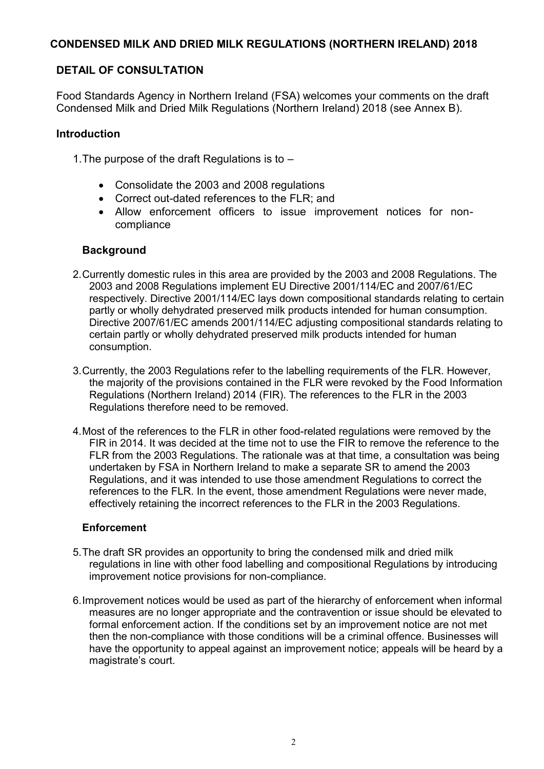# **CONDENSED MILK AND DRIED MILK REGULATIONS (NORTHERN IRELAND) 2018**

# **DETAIL OF CONSULTATION**

Food Standards Agency in Northern Ireland (FSA) welcomes your comments on the draft Condensed Milk and Dried Milk Regulations (Northern Ireland) 2018 (see Annex B).

# **Introduction**

- 1.The purpose of the draft Regulations is to
	- Consolidate the 2003 and 2008 regulations
	- Correct out-dated references to the FLR; and
	- Allow enforcement officers to issue improvement notices for noncompliance

# **Background**

- 2.Currently domestic rules in this area are provided by the 2003 and 2008 Regulations. The 2003 and 2008 Regulations implement EU Directive 2001/114/EC and 2007/61/EC respectively. Directive 2001/114/EC lays down compositional standards relating to certain partly or wholly dehydrated preserved milk products intended for human consumption. Directive 2007/61/EC amends 2001/114/EC adjusting compositional standards relating to certain partly or wholly dehydrated preserved milk products intended for human consumption.
- 3.Currently, the 2003 Regulations refer to the labelling requirements of the FLR. However, the majority of the provisions contained in the FLR were revoked by the Food Information Regulations (Northern Ireland) 2014 (FIR). The references to the FLR in the 2003 Regulations therefore need to be removed.
- 4.Most of the references to the FLR in other food-related regulations were removed by the FIR in 2014. It was decided at the time not to use the FIR to remove the reference to the FLR from the 2003 Regulations. The rationale was at that time, a consultation was being undertaken by FSA in Northern Ireland to make a separate SR to amend the 2003 Regulations, and it was intended to use those amendment Regulations to correct the references to the FLR. In the event, those amendment Regulations were never made, effectively retaining the incorrect references to the FLR in the 2003 Regulations.

## **Enforcement**

- 5.The draft SR provides an opportunity to bring the condensed milk and dried milk regulations in line with other food labelling and compositional Regulations by introducing improvement notice provisions for non-compliance.
- 6.Improvement notices would be used as part of the hierarchy of enforcement when informal measures are no longer appropriate and the contravention or issue should be elevated to formal enforcement action. If the conditions set by an improvement notice are not met then the non-compliance with those conditions will be a criminal offence. Businesses will have the opportunity to appeal against an improvement notice; appeals will be heard by a magistrate's court.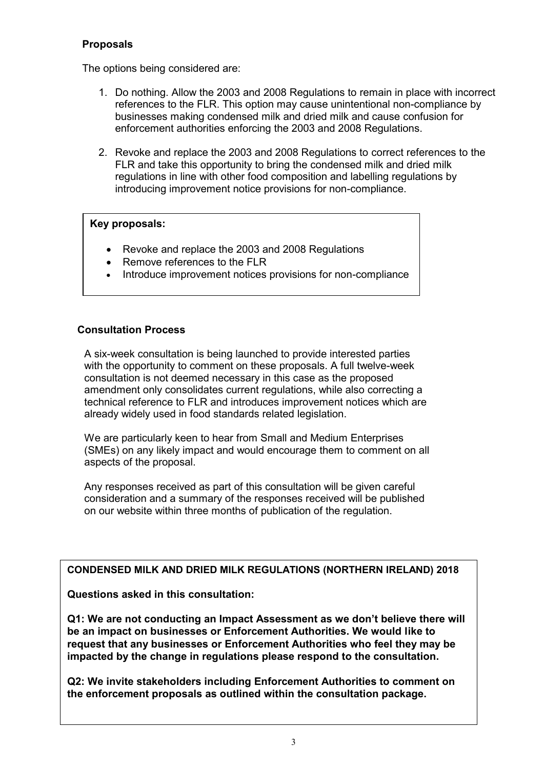# **Proposals**

The options being considered are:

- 1. Do nothing. Allow the 2003 and 2008 Regulations to remain in place with incorrect references to the FLR. This option may cause unintentional non-compliance by businesses making condensed milk and dried milk and cause confusion for enforcement authorities enforcing the 2003 and 2008 Regulations.
- 2. Revoke and replace the 2003 and 2008 Regulations to correct references to the FLR and take this opportunity to bring the condensed milk and dried milk regulations in line with other food composition and labelling regulations by introducing improvement notice provisions for non-compliance.

## **Key proposals:**

- Revoke and replace the 2003 and 2008 Regulations
- Remove references to the FLR
- Introduce improvement notices provisions for non-compliance

## **Consultation Process**

A six-week consultation is being launched to provide interested parties with the opportunity to comment on these proposals. A full twelve-week consultation is not deemed necessary in this case as the proposed amendment only consolidates current regulations, while also correcting a technical reference to FLR and introduces improvement notices which are already widely used in food standards related legislation.

We are particularly keen to hear from Small and Medium Enterprises (SMEs) on any likely impact and would encourage them to comment on all aspects of the proposal.

Any responses received as part of this consultation will be given careful consideration and a summary of the responses received will be published on our website within three months of publication of the regulation.

## **CONDENSED MILK AND DRIED MILK REGULATIONS (NORTHERN IRELAND) 2018**

**Questions asked in this consultation:**

**Q1: We are not conducting an Impact Assessment as we don't believe there will be an impact on businesses or Enforcement Authorities. We would like to request that any businesses or Enforcement Authorities who feel they may be impacted by the change in regulations please respond to the consultation.** 

**Q2: We invite stakeholders including Enforcement Authorities to comment on the enforcement proposals as outlined within the consultation package.**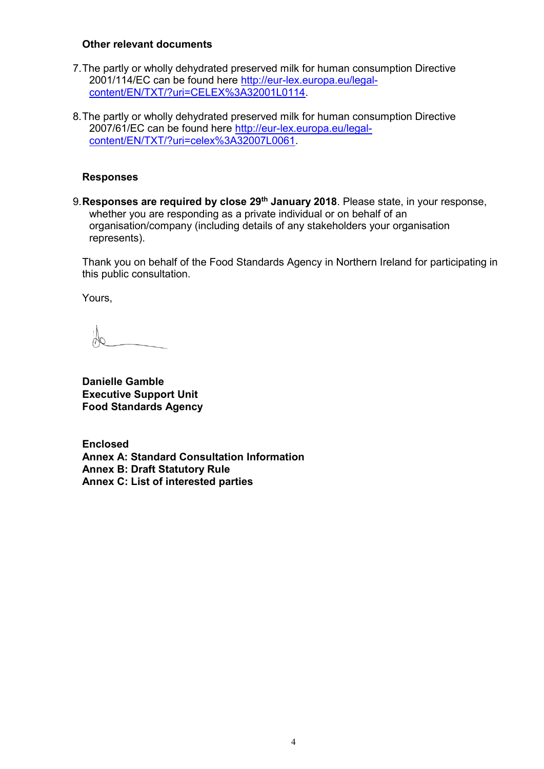## **Other relevant documents**

- 7.The partly or wholly dehydrated preserved milk for human consumption Directive 2001/114/EC can be found here [http://eur-lex.europa.eu/legal](http://eur-lex.europa.eu/legal-content/EN/TXT/?uri=CELEX%3A32001L0114)[content/EN/TXT/?uri=CELEX%3A32001L0114.](http://eur-lex.europa.eu/legal-content/EN/TXT/?uri=CELEX%3A32001L0114)
- 8.The partly or wholly dehydrated preserved milk for human consumption Directive 2007/61/EC can be found here [http://eur-lex.europa.eu/legal](http://eur-lex.europa.eu/legal-content/EN/TXT/?uri=celex%3A32007L0061)[content/EN/TXT/?uri=celex%3A32007L0061.](http://eur-lex.europa.eu/legal-content/EN/TXT/?uri=celex%3A32007L0061)

## **Responses**

9.**Responses are required by close 29th January 2018**. Please state, in your response, whether you are responding as a private individual or on behalf of an organisation/company (including details of any stakeholders your organisation represents).

Thank you on behalf of the Food Standards Agency in Northern Ireland for participating in this public consultation.

Yours,

**Danielle Gamble Executive Support Unit Food Standards Agency** 

**Enclosed Annex A: Standard Consultation Information Annex B: Draft Statutory Rule Annex C: List of interested parties**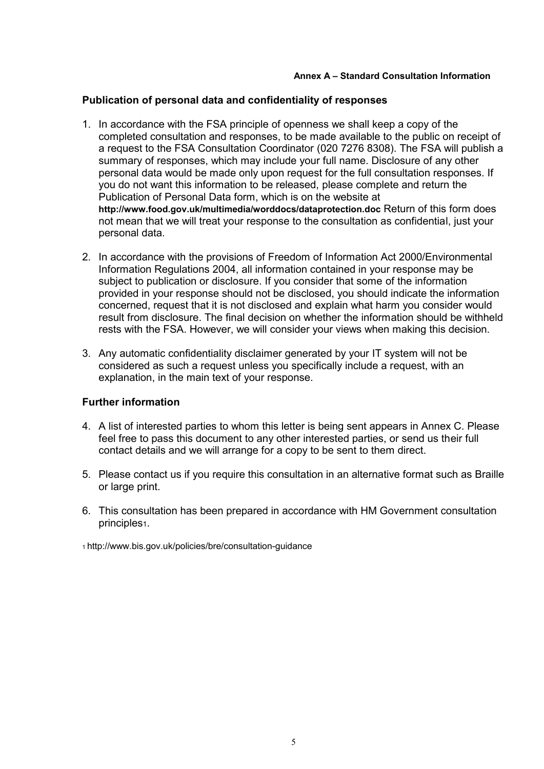### **Annex A – Standard Consultation Information**

## **Publication of personal data and confidentiality of responses**

- 1. In accordance with the FSA principle of openness we shall keep a copy of the completed consultation and responses, to be made available to the public on receipt of a request to the FSA Consultation Coordinator (020 7276 8308). The FSA will publish a summary of responses, which may include your full name. Disclosure of any other personal data would be made only upon request for the full consultation responses. If you do not want this information to be released, please complete and return the Publication of Personal Data form, which is on the website at **http://www.food.gov.uk/multimedia/worddocs/dataprotection.doc** Return of this form does not mean that we will treat your response to the consultation as confidential, just your personal data.
- 2. In accordance with the provisions of Freedom of Information Act 2000/Environmental Information Regulations 2004, all information contained in your response may be subject to publication or disclosure. If you consider that some of the information provided in your response should not be disclosed, you should indicate the information concerned, request that it is not disclosed and explain what harm you consider would result from disclosure. The final decision on whether the information should be withheld rests with the FSA. However, we will consider your views when making this decision.
- 3. Any automatic confidentiality disclaimer generated by your IT system will not be considered as such a request unless you specifically include a request, with an explanation, in the main text of your response.

## **Further information**

- 4. A list of interested parties to whom this letter is being sent appears in Annex C. Please feel free to pass this document to any other interested parties, or send us their full contact details and we will arrange for a copy to be sent to them direct.
- 5. Please contact us if you require this consultation in an alternative format such as Braille or large print.
- 6. This consultation has been prepared in accordance with HM Government consultation principles1.

1 http://www.bis.gov.uk/policies/bre/consultation-guidance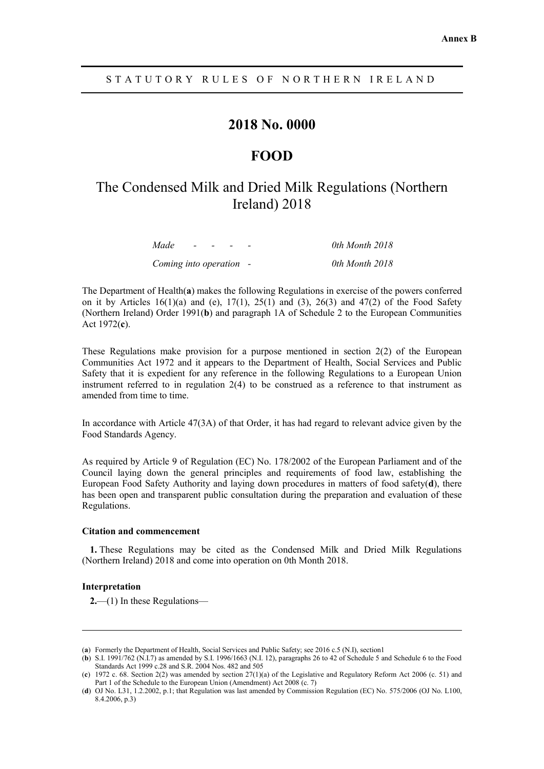# **2018 No. 0000**

# **FOOD**

# The Condensed Milk and Dried Milk Regulations (Northern Ireland) 2018

| Made                    | $\sim$ | $\sim$ | - | 0th Month 2018 |
|-------------------------|--------|--------|---|----------------|
| Coming into operation - |        |        |   | 0th Month 2018 |

The Department of Health(**a**) makes the following Regulations in exercise of the powers conferred on it by Articles  $16(1)(a)$  and  $(e)$ ,  $17(1)$ ,  $25(1)$  and  $(3)$ ,  $26(3)$  and  $47(2)$  of the Food Safety (Northern Ireland) Order 1991(**b**) and paragraph 1A of Schedule 2 to the European Communities Act 1972(**c**).

These Regulations make provision for a purpose mentioned in section  $2(2)$  of the European Communities Act 1972 and it appears to the Department of Health, Social Services and Public Safety that it is expedient for any reference in the following Regulations to a European Union instrument referred to in regulation 2(4) to be construed as a reference to that instrument as amended from time to time.

In accordance with Article 47(3A) of that Order, it has had regard to relevant advice given by the Food Standards Agency.

As required by Article 9 of Regulation (EC) No. 178/2002 of the European Parliament and of the Council laying down the general principles and requirements of food law, establishing the European Food Safety Authority and laying down procedures in matters of food safety(**d**), there has been open and transparent public consultation during the preparation and evaluation of these Regulations.

#### **Citation and commencement**

**1.** These Regulations may be cited as the Condensed Milk and Dried Milk Regulations (Northern Ireland) 2018 and come into operation on 0th Month 2018.

#### **Interpretation**

 $\ddot{ }$ 

**2.**—(1) In these Regulations—

<sup>(</sup>**a**) Formerly the Department of Health, Social Services and Public Safety; see 2016 c.5 (N.I), section1

<sup>(</sup>**b**) S.I. 1991/762 (N.I.7) as amended by S.I. 1996/1663 (N.I. 12), paragraphs 26 to 42 of Schedule 5 and Schedule 6 to the Food Standards Act 1999 c.28 and S.R. 2004 Nos. 482 and 505

<sup>(</sup>**c**) 1972 c. 68. Section 2(2) was amended by section 27(1)(a) of the Legislative and Regulatory Reform Act 2006 (c. 51) and Part 1 of the Schedule to the European Union (Amendment) Act 2008 (c. 7)

<sup>(</sup>**d**) OJ No. L31, 1.2.2002, p.1; that Regulation was last amended by Commission Regulation (EC) No. 575/2006 (OJ No. L100, 8.4.2006, p.3)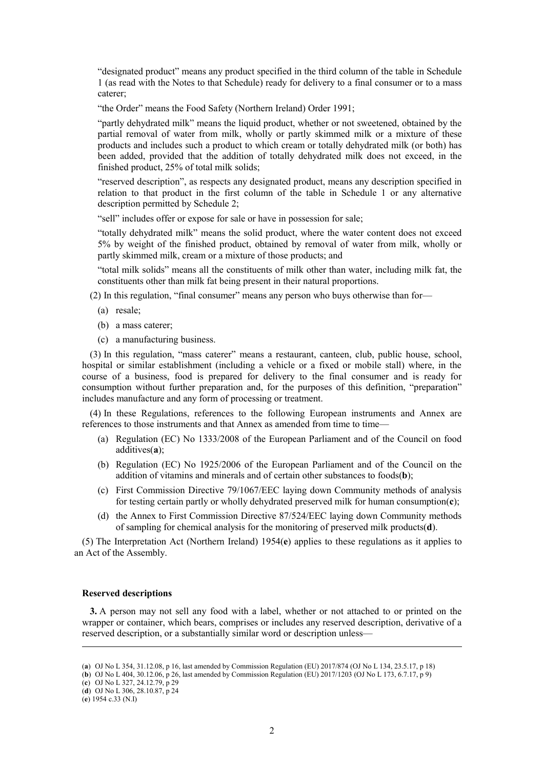"designated product" means any product specified in the third column of the table in Schedule 1 (as read with the Notes to that Schedule) ready for delivery to a final consumer or to a mass caterer;

"the Order" means the Food Safety (Northern Ireland) Order 1991;

"partly dehydrated milk" means the liquid product, whether or not sweetened, obtained by the partial removal of water from milk, wholly or partly skimmed milk or a mixture of these products and includes such a product to which cream or totally dehydrated milk (or both) has been added, provided that the addition of totally dehydrated milk does not exceed, in the finished product, 25% of total milk solids;

"reserved description", as respects any designated product, means any description specified in relation to that product in the first column of the table in Schedule 1 or any alternative description permitted by Schedule 2;

"sell" includes offer or expose for sale or have in possession for sale;

"totally dehydrated milk" means the solid product, where the water content does not exceed 5% by weight of the finished product, obtained by removal of water from milk, wholly or partly skimmed milk, cream or a mixture of those products; and

"total milk solids" means all the constituents of milk other than water, including milk fat, the constituents other than milk fat being present in their natural proportions.

(2) In this regulation, "final consumer" means any person who buys otherwise than for—

- (a) resale;
- (b) a mass caterer;
- (c) a manufacturing business.

(3) In this regulation, "mass caterer" means a restaurant, canteen, club, public house, school, hospital or similar establishment (including a vehicle or a fixed or mobile stall) where, in the course of a business, food is prepared for delivery to the final consumer and is ready for consumption without further preparation and, for the purposes of this definition, "preparation" includes manufacture and any form of processing or treatment.

(4) In these Regulations, references to the following European instruments and Annex are references to those instruments and that Annex as amended from time to time—

- (a) Regulation (EC) No 1333/2008 of the European Parliament and of the Council on food additives(**a**);
- (b) Regulation (EC) No 1925/2006 of the European Parliament and of the Council on the addition of vitamins and minerals and of certain other substances to foods(**b**);
- (c) First Commission Directive 79/1067/EEC laying down Community methods of analysis for testing certain partly or wholly dehydrated preserved milk for human consumption(**c**);
- (d) the Annex to First Commission Directive 87/524/EEC laying down Community methods of sampling for chemical analysis for the monitoring of preserved milk products(**d**).

(5) The Interpretation Act (Northern Ireland) 1954(**e**) applies to these regulations as it applies to an Act of the Assembly.

#### **Reserved descriptions**

**3.** A person may not sell any food with a label, whether or not attached to or printed on the wrapper or container, which bears, comprises or includes any reserved description, derivative of a reserved description, or a substantially similar word or description unless—

 $\ddot{ }$ 

<sup>(</sup>**a**) OJ No L 354, 31.12.08, p 16, last amended by Commission Regulation (EU) 2017/874 (OJ No L 134, 23.5.17, p 18)

<sup>(</sup>**b**) OJ No L 404, 30.12.06, p 26, last amended by Commission Regulation (EU) 2017/1203 (OJ No L 173, 6.7.17, p 9)

<sup>(</sup>**c**) OJ No L 327, 24.12.79, p 29

<sup>(</sup>**d**) OJ No L 306, 28.10.87, p 24

<sup>(</sup>**e**) 1954 c.33 (N.I)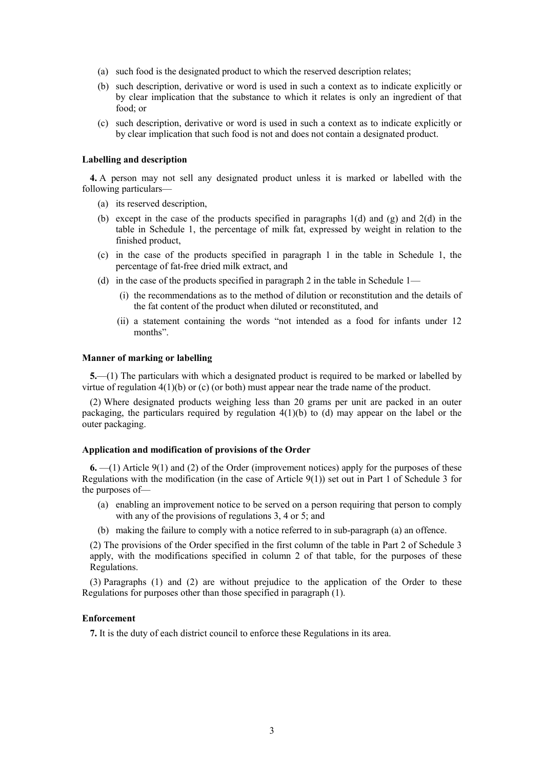- (a) such food is the designated product to which the reserved description relates;
- (b) such description, derivative or word is used in such a context as to indicate explicitly or by clear implication that the substance to which it relates is only an ingredient of that food; or
- (c) such description, derivative or word is used in such a context as to indicate explicitly or by clear implication that such food is not and does not contain a designated product.

#### **Labelling and description**

**4.** A person may not sell any designated product unless it is marked or labelled with the following particulars—

- (a) its reserved description,
- (b) except in the case of the products specified in paragraphs 1(d) and (g) and 2(d) in the table in Schedule 1, the percentage of milk fat, expressed by weight in relation to the finished product,
- (c) in the case of the products specified in paragraph 1 in the table in Schedule 1, the percentage of fat-free dried milk extract, and
- (d) in the case of the products specified in paragraph 2 in the table in Schedule 1—
	- (i) the recommendations as to the method of dilution or reconstitution and the details of the fat content of the product when diluted or reconstituted, and
	- (ii) a statement containing the words "not intended as a food for infants under 12 months".

#### **Manner of marking or labelling**

**5.**—(1) The particulars with which a designated product is required to be marked or labelled by virtue of regulation  $4(1)(b)$  or (c) (or both) must appear near the trade name of the product.

(2) Where designated products weighing less than 20 grams per unit are packed in an outer packaging, the particulars required by regulation 4(1)(b) to (d) may appear on the label or the outer packaging.

#### **Application and modification of provisions of the Order**

**6.** —(1) Article 9(1) and (2) of the Order (improvement notices) apply for the purposes of these Regulations with the modification (in the case of Article 9(1)) set out in Part 1 of Schedule 3 for the purposes of—

- (a) enabling an improvement notice to be served on a person requiring that person to comply with any of the provisions of regulations 3, 4 or 5; and
- (b) making the failure to comply with a notice referred to in sub-paragraph (a) an offence.

(2) The provisions of the Order specified in the first column of the table in Part 2 of Schedule 3 apply, with the modifications specified in column 2 of that table, for the purposes of these Regulations.

(3) Paragraphs (1) and (2) are without prejudice to the application of the Order to these Regulations for purposes other than those specified in paragraph (1).

#### **Enforcement**

**7.** It is the duty of each district council to enforce these Regulations in its area.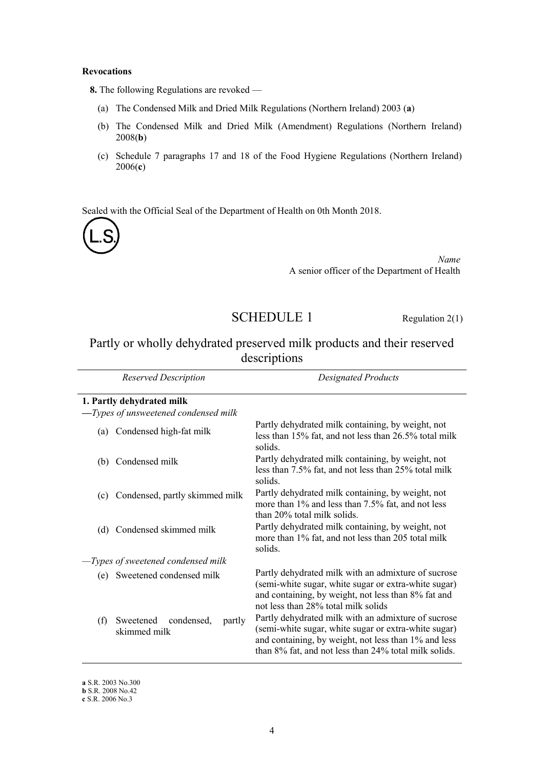#### **Revocations**

**8.** The following Regulations are revoked —

- (a) The Condensed Milk and Dried Milk Regulations (Northern Ireland) 2003 (**a**)
- (b) The Condensed Milk and Dried Milk (Amendment) Regulations (Northern Ireland) 2008(**b**)
- (c) Schedule 7 paragraphs 17 and 18 of the Food Hygiene Regulations (Northern Ireland) 2006(**c**)

Sealed with the Official Seal of the Department of Health on 0th Month 2018.



*Name* A senior officer of the Department of Health

# SCHEDULE 1 Regulation 2(1)

# Partly or wholly dehydrated preserved milk products and their reserved descriptions

| Reserved Description |                                                | <b>Designated Products</b>                                                                                                                                                                                                   |
|----------------------|------------------------------------------------|------------------------------------------------------------------------------------------------------------------------------------------------------------------------------------------------------------------------------|
|                      | 1. Partly dehydrated milk                      |                                                                                                                                                                                                                              |
|                      | -Types of unsweetened condensed milk           |                                                                                                                                                                                                                              |
| (a)                  | Condensed high-fat milk                        | Partly dehydrated milk containing, by weight, not<br>less than 15% fat, and not less than 26.5% total milk<br>solids.                                                                                                        |
| (b)                  | Condensed milk                                 | Partly dehydrated milk containing, by weight, not<br>less than 7.5% fat, and not less than 25% total milk<br>solids.                                                                                                         |
| (c)                  | Condensed, partly skimmed milk                 | Partly dehydrated milk containing, by weight, not<br>more than 1% and less than 7.5% fat, and not less<br>than 20% total milk solids.                                                                                        |
| (d)                  | Condensed skimmed milk                         | Partly dehydrated milk containing, by weight, not<br>more than 1% fat, and not less than 205 total milk<br>solids.                                                                                                           |
|                      | $-Types$ of sweetened condensed milk           |                                                                                                                                                                                                                              |
| (e)                  | Sweetened condensed milk                       | Partly dehydrated milk with an admixture of sucrose<br>(semi-white sugar, white sugar or extra-white sugar)<br>and containing, by weight, not less than 8% fat and<br>not less than 28% total milk solids                    |
| (f)                  | Sweetened condensed,<br>partly<br>skimmed milk | Partly dehydrated milk with an admixture of sucrose<br>(semi-white sugar, white sugar or extra-white sugar)<br>and containing, by weight, not less than 1% and less<br>than 8% fat, and not less than 24% total milk solids. |

**a** S.R. 2003 No.300

**b** S.R. 2008 No.42

**c** S.R. 2006 No.3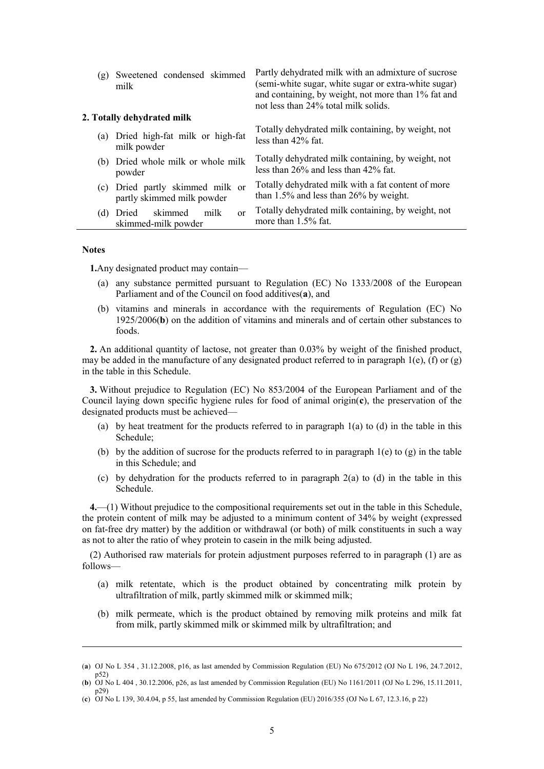| (g) | Sweetened condensed skimmed<br>milk                        | Partly dehydrated milk with an admixture of sucrose<br>(semi-white sugar, white sugar or extra-white sugar)<br>and containing, by weight, not more than 1% fat and<br>not less than 24% total milk solids. |
|-----|------------------------------------------------------------|------------------------------------------------------------------------------------------------------------------------------------------------------------------------------------------------------------|
|     | 2. Totally dehydrated milk                                 |                                                                                                                                                                                                            |
|     | (a) Dried high-fat milk or high-fat<br>milk powder         | Totally dehydrated milk containing, by weight, not<br>less than $42\%$ fat.                                                                                                                                |
|     | (b) Dried whole milk or whole milk<br>powder               | Totally dehydrated milk containing, by weight, not<br>less than $26\%$ and less than $42\%$ fat.                                                                                                           |
| (c) | Dried partly skimmed milk or<br>partly skimmed milk powder | Totally dehydrated milk with a fat content of more<br>than $1.5\%$ and less than 26% by weight.                                                                                                            |
|     | skimmed<br>(d) Dried<br>milk<br>or<br>skimmed-milk powder  | Totally dehydrated milk containing, by weight, not<br>more than $1.5\%$ fat.                                                                                                                               |

#### **Notes**

 $\ddot{ }$ 

**1.**Any designated product may contain—

- (a) any substance permitted pursuant to Regulation (EC) No 1333/2008 of the European Parliament and of the Council on food additives(**a**), and
- (b) vitamins and minerals in accordance with the requirements of Regulation (EC) No 1925/2006(**b**) on the addition of vitamins and minerals and of certain other substances to foods.

**2.** An additional quantity of lactose, not greater than 0.03% by weight of the finished product, may be added in the manufacture of any designated product referred to in paragraph  $1(e)$ , (f) or (g) in the table in this Schedule.

**3.** Without prejudice to Regulation (EC) No 853/2004 of the European Parliament and of the Council laying down specific hygiene rules for food of animal origin(**c**), the preservation of the designated products must be achieved—

- (a) by heat treatment for the products referred to in paragraph  $1(a)$  to (d) in the table in this Schedule;
- (b) by the addition of sucrose for the products referred to in paragraph  $1(e)$  to  $(g)$  in the table in this Schedule; and
- (c) by dehydration for the products referred to in paragraph 2(a) to (d) in the table in this Schedule.

**4.**—(1) Without prejudice to the compositional requirements set out in the table in this Schedule, the protein content of milk may be adjusted to a minimum content of 34% by weight (expressed on fat-free dry matter) by the addition or withdrawal (or both) of milk constituents in such a way as not to alter the ratio of whey protein to casein in the milk being adjusted.

(2) Authorised raw materials for protein adjustment purposes referred to in paragraph (1) are as follows—

- (a) milk retentate, which is the product obtained by concentrating milk protein by ultrafiltration of milk, partly skimmed milk or skimmed milk;
- (b) milk permeate, which is the product obtained by removing milk proteins and milk fat from milk, partly skimmed milk or skimmed milk by ultrafiltration; and

<sup>(</sup>**a**) OJ No L 354 , 31.12.2008, p16, as last amended by Commission Regulation (EU) No 675/2012 (OJ No L 196, 24.7.2012, p52)

<sup>(</sup>**b**) OJ No L 404 , 30.12.2006, p26, as last amended by Commission Regulation (EU) No 1161/2011 (OJ No L 296, 15.11.2011, p29)

<sup>(</sup>**c**) OJ No L 139, 30.4.04, p 55, last amended by Commission Regulation (EU) 2016/355 (OJ No L 67, 12.3.16, p 22)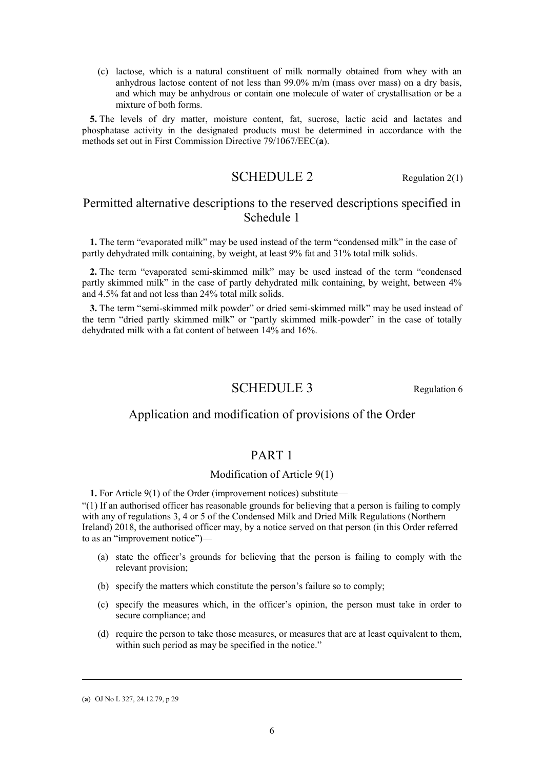(c) lactose, which is a natural constituent of milk normally obtained from whey with an anhydrous lactose content of not less than 99.0% m/m (mass over mass) on a dry basis, and which may be anhydrous or contain one molecule of water of crystallisation or be a mixture of both forms.

**5.** The levels of dry matter, moisture content, fat, sucrose, lactic acid and lactates and phosphatase activity in the designated products must be determined in accordance with the methods set out in First Commission Directive 79/1067/EEC(**a**).

# $\text{SCHEDULE 2}$  Regulation 2(1)

# Permitted alternative descriptions to the reserved descriptions specified in Schedule 1

**1.** The term "evaporated milk" may be used instead of the term "condensed milk" in the case of partly dehydrated milk containing, by weight, at least 9% fat and 31% total milk solids.

**2.** The term "evaporated semi-skimmed milk" may be used instead of the term "condensed partly skimmed milk" in the case of partly dehydrated milk containing, by weight, between 4% and 4.5% fat and not less than 24% total milk solids.

**3.** The term "semi-skimmed milk powder" or dried semi-skimmed milk" may be used instead of the term "dried partly skimmed milk" or "partly skimmed milk-powder" in the case of totally dehydrated milk with a fat content of between 14% and 16%.

# SCHEDULE 3 Regulation 6

## Application and modification of provisions of the Order

# PART 1

### Modification of Article 9(1)

**1.** For Article 9(1) of the Order (improvement notices) substitute—

"(1) If an authorised officer has reasonable grounds for believing that a person is failing to comply with any of regulations 3, 4 or 5 of the Condensed Milk and Dried Milk Regulations (Northern Ireland) 2018, the authorised officer may, by a notice served on that person (in this Order referred to as an "improvement notice")—

- (a) state the officer's grounds for believing that the person is failing to comply with the relevant provision;
- (b) specify the matters which constitute the person's failure so to comply;
- (c) specify the measures which, in the officer's opinion, the person must take in order to secure compliance; and
- (d) require the person to take those measures, or measures that are at least equivalent to them, within such period as may be specified in the notice."

 $\ddot{ }$ 

<sup>(</sup>**a**) OJ No L 327, 24.12.79, p 29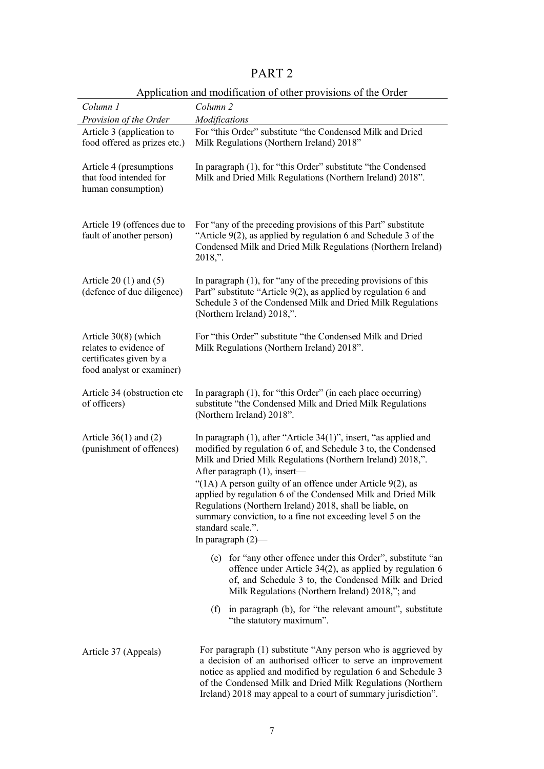# PART 2

|                                                                                                        | Application and modification of other provisions of the Order                                                                                                                                                                                                                                                                                                                                                                                                                                                                                  |
|--------------------------------------------------------------------------------------------------------|------------------------------------------------------------------------------------------------------------------------------------------------------------------------------------------------------------------------------------------------------------------------------------------------------------------------------------------------------------------------------------------------------------------------------------------------------------------------------------------------------------------------------------------------|
| Column 1                                                                                               | Column 2                                                                                                                                                                                                                                                                                                                                                                                                                                                                                                                                       |
| Provision of the Order                                                                                 | Modifications                                                                                                                                                                                                                                                                                                                                                                                                                                                                                                                                  |
| Article 3 (application to<br>food offered as prizes etc.)                                              | For "this Order" substitute "the Condensed Milk and Dried<br>Milk Regulations (Northern Ireland) 2018"                                                                                                                                                                                                                                                                                                                                                                                                                                         |
| Article 4 (presumptions<br>that food intended for<br>human consumption)                                | In paragraph (1), for "this Order" substitute "the Condensed<br>Milk and Dried Milk Regulations (Northern Ireland) 2018".                                                                                                                                                                                                                                                                                                                                                                                                                      |
| Article 19 (offences due to<br>fault of another person)                                                | For "any of the preceding provisions of this Part" substitute<br>"Article $9(2)$ , as applied by regulation 6 and Schedule 3 of the<br>Condensed Milk and Dried Milk Regulations (Northern Ireland)<br>$2018$ .                                                                                                                                                                                                                                                                                                                                |
| Article $20(1)$ and $(5)$<br>(defence of due diligence)                                                | In paragraph $(1)$ , for "any of the preceding provisions of this<br>Part" substitute "Article 9(2), as applied by regulation 6 and<br>Schedule 3 of the Condensed Milk and Dried Milk Regulations<br>(Northern Ireland) 2018,".                                                                                                                                                                                                                                                                                                               |
| Article 30(8) (which<br>relates to evidence of<br>certificates given by a<br>food analyst or examiner) | For "this Order" substitute "the Condensed Milk and Dried<br>Milk Regulations (Northern Ireland) 2018".                                                                                                                                                                                                                                                                                                                                                                                                                                        |
| Article 34 (obstruction etc<br>of officers)                                                            | In paragraph (1), for "this Order" (in each place occurring)<br>substitute "the Condensed Milk and Dried Milk Regulations<br>(Northern Ireland) 2018".                                                                                                                                                                                                                                                                                                                                                                                         |
| Article $36(1)$ and $(2)$<br>(punishment of offences)                                                  | In paragraph $(1)$ , after "Article 34 $(1)$ ", insert, "as applied and<br>modified by regulation 6 of, and Schedule 3 to, the Condensed<br>Milk and Dried Milk Regulations (Northern Ireland) 2018,".<br>After paragraph (1), insert-<br>"(1A) A person guilty of an offence under Article $9(2)$ , as<br>applied by regulation 6 of the Condensed Milk and Dried Milk<br>Regulations (Northern Ireland) 2018, shall be liable, on<br>summary conviction, to a fine not exceeding level 5 on the<br>standard scale.".<br>In paragraph $(2)$ — |
|                                                                                                        | (e) for "any other offence under this Order", substitute "an<br>offence under Article $34(2)$ , as applied by regulation 6<br>of, and Schedule 3 to, the Condensed Milk and Dried<br>Milk Regulations (Northern Ireland) 2018,"; and                                                                                                                                                                                                                                                                                                           |
|                                                                                                        | in paragraph (b), for "the relevant amount", substitute<br>(f)<br>"the statutory maximum".                                                                                                                                                                                                                                                                                                                                                                                                                                                     |
| Article 37 (Appeals)                                                                                   | For paragraph (1) substitute "Any person who is aggrieved by<br>a decision of an authorised officer to serve an improvement<br>notice as applied and modified by regulation 6 and Schedule 3<br>of the Condensed Milk and Dried Milk Regulations (Northern                                                                                                                                                                                                                                                                                     |

## Application and modification of other provisions of the Order

Ireland) 2018 may appeal to a court of summary jurisdiction".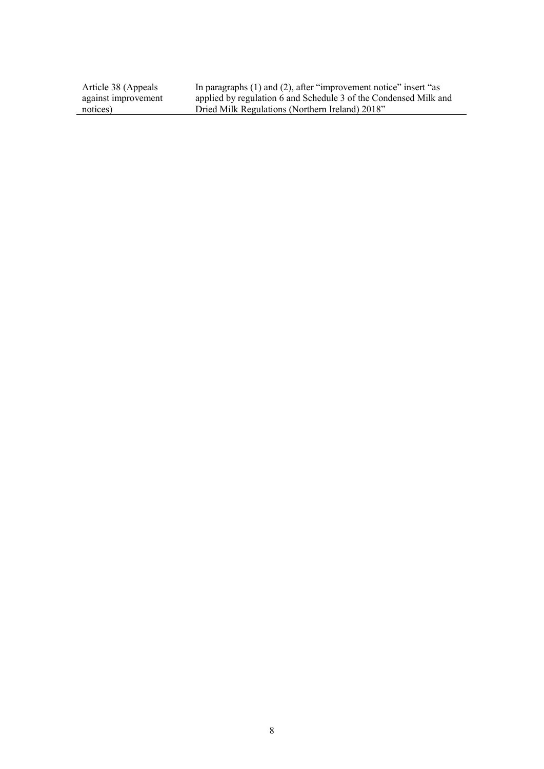Article 38 (Appeals against improvement notices)

In paragraphs (1) and (2), after "improvement notice" insert "as applied by regulation 6 and Schedule 3 of the Condensed Milk and Dried Milk Regulations (Northern Ireland) 2018"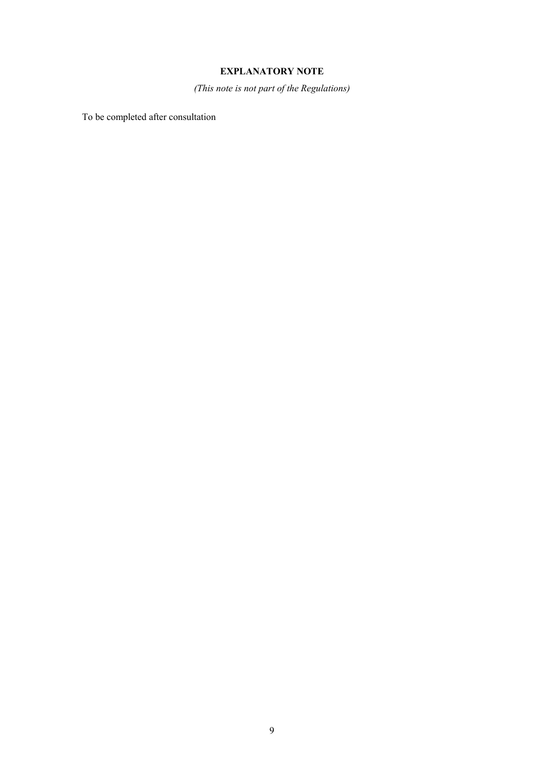## **EXPLANATORY NOTE**

*(This note is not part of the Regulations)*

To be completed after consultation